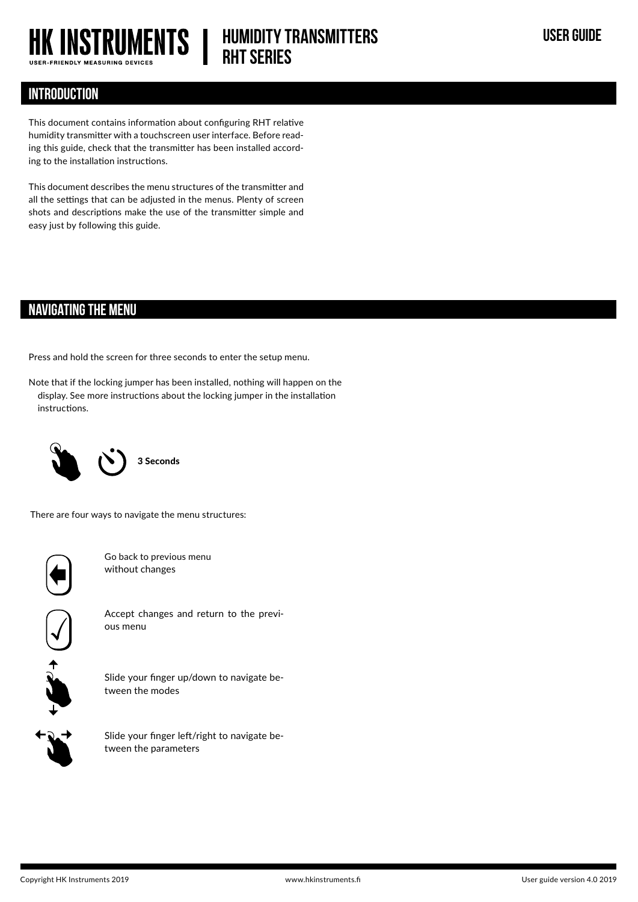

# **HUMIDITY TRANSMITTERS USER GUIDE RHT Series**

## **INTRODUCTION**

This document contains information about configuring RHT relative humidity transmitter with a touchscreen user interface. Before reading this guide, check that the transmitter has been installed according to the installation instructions.

This document describes the menu structures of the transmitter and all the settings that can be adjusted in the menus. Plenty of screen shots and descriptions make the use of the transmitter simple and easy just by following this guide.

## **NAVIGATING THE MENU**

Press and hold the screen for three seconds to enter the setup menu.

Note that if the locking jumper has been installed, nothing will happen on the display. See more instructions about the locking jumper in the installation instructions.



3 Seconds

There are four ways to navigate the menu structures:



Go back to previous menu without changes



Accept changes and return to the previous menu



Slide your finger up/down to navigate between the modes



Slide your finger left/right to navigate between the parameters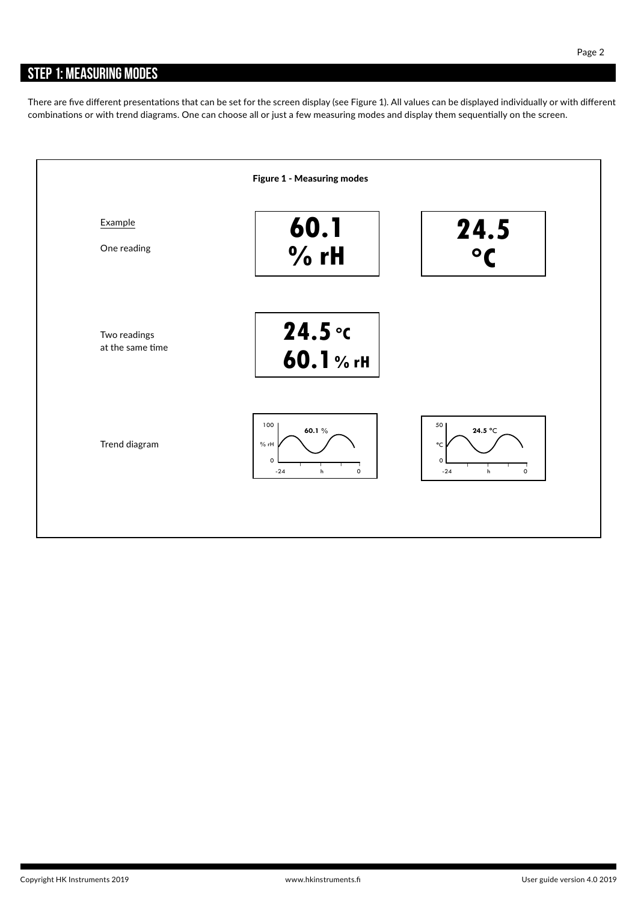## **STEP 1: MEASURING MODES**

There are five different presentations that can be set for the screen display (see Figure 1). All values can be displayed individually or with different combinations or with trend diagrams. One can choose all or just a few measuring modes and display them sequentially on the screen.

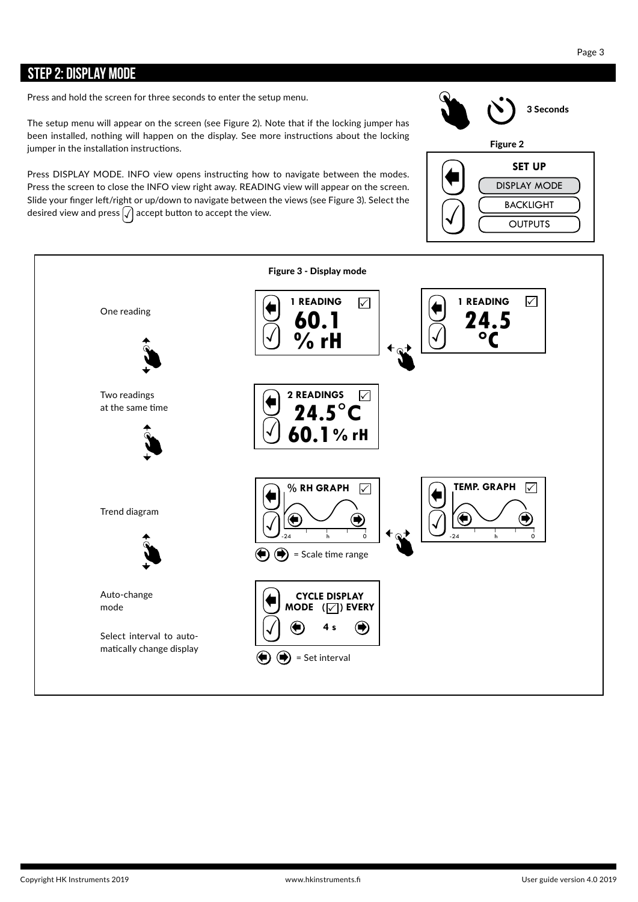### **STEP 2: DISPLAY MODE**

The setup menu will appear on the screen (see Figure 2). Note that if the locking jumper has been installed, nothing will happen on the display. See more instructions about the locking jumper in the installation instructions.

Press DISPLAY MODE. INFO view opens instructing how to navigate between the modes. Press the screen to close the INFO view right away. READING view will appear on the screen. Slide your finger left/right or up/down to navigate between the views (see Figure 3). Select the desired view and press  $\sqrt{\ }$  accept button to accept the view.



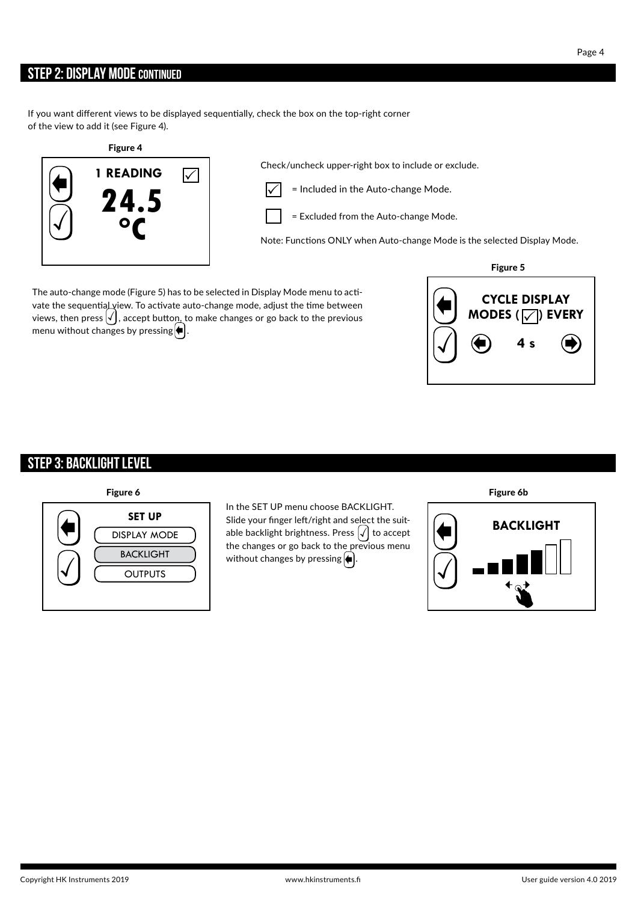### **STEP 2: DISPLAY MODE CONTINUED**

If you want different views to be displayed sequentially, check the box on the top-right corner of the view to add it (see Figure 4).

### Figure 4



Check/uncheck upper-right box to include or exclude.

= Included in the Auto-change Mode.

= Excluded from the Auto-change Mode.

Note: Functions ONLY when Auto-change Mode is the selected Display Mode.

The auto-change mode (Figure 5) has to be selected in Display Mode menu to activate the sequential view. To activate auto-change mode, adjust the time between views, then press  $\bigvee$  , accept button, to make changes or go back to the previous menu without changes by pressing $\left|\blacklozenge\right|$ .



## **STEP 3: BACKLIGHT LEVEL**



In the SET UP menu choose BACKLIGHT. Slide your finger left/right and select the suitable backlight brightness. Press  $\sqrt{}{}|$  to accept the changes or go back to the previous menu without changes by pressing  $\left|\blacklozenge\right|$ .

Figure 6 Figure 6b

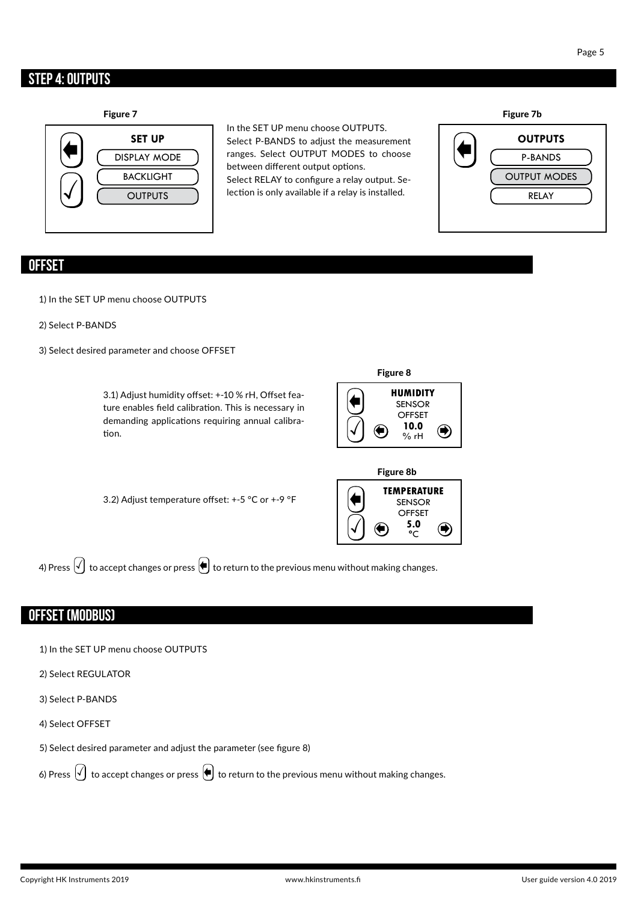## **STEP 4: OUTPUTS**



In the SET UP menu choose OUTPUTS. Select P-BANDS to adjust the measurement ranges. Select OUTPUT MODES to choose between different output options. Select RELAY to configure a relay output. Selection is only available if a relay is installed.



### **OFFSET**

1) In the SET UP menu choose OUTPUTS

### 2) Select P-BANDS

3) Select desired parameter and choose OFFSET



### **OFFSET (MODBUS)**

- 1) In the SET UP menu choose OUTPUTS
- 2) Select REGULATOR
- 3) Select P-BANDS
- 4) Select OFFSET
- 5) Select desired parameter and adjust the parameter (see figure 8)

6) Press  $\widehat{t}$  to accept changes or press  $\bigoplus$  to return to the previous menu without making changes.

## $\mathsf{Page}\ 5$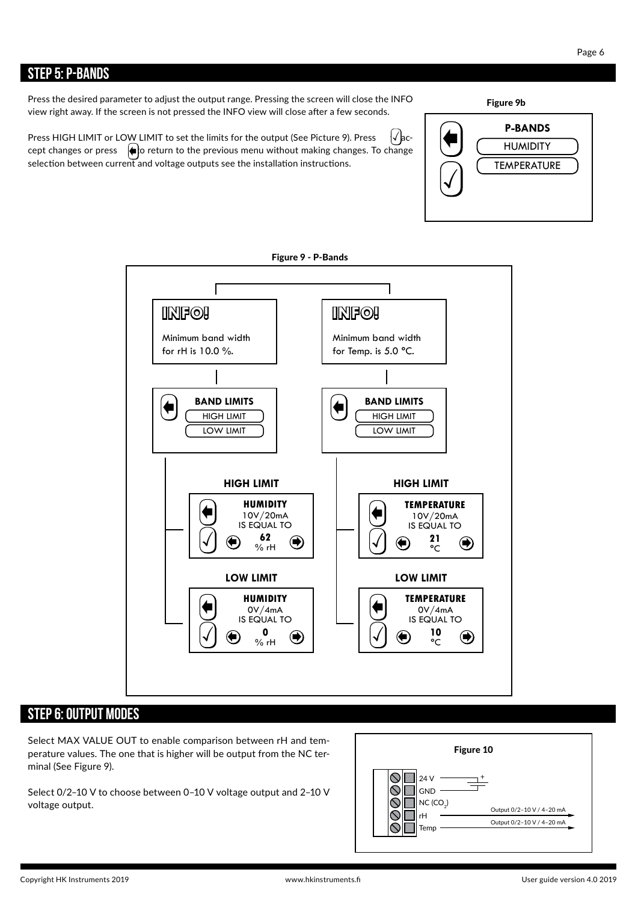### **STEP 5: P-BANDS**

Press the desired parameter to adjust the output range. Pressing the screen will close the INFO view right away. If the screen is not pressed the INFO view will close after a few seconds.

Press HIGH LIMIT or LOW LIMIT to set the limits for the output (See Picture 9). Press cept changes or press  $\;\;|\spadesuit\sp{\downarrow}$ o return to the previous menu without making changes. To change selection between current and voltage outputs see the installation instructions.  $\{\sqrt{\}$ ac-



## **STEP 6: OUTPUT MODES**

Select MAX VALUE OUT to enable comparison between rH and temperature values. The one that is higher will be output from the NC terminal (See Figure 9).

Select 0/2–10 V to choose between 0–10 V voltage output and 2–10 V voltage output.



**P-BANDS** HUMIDITY

Figure 9b

 $|\mathcal{J}|$ 

TEMPERATURE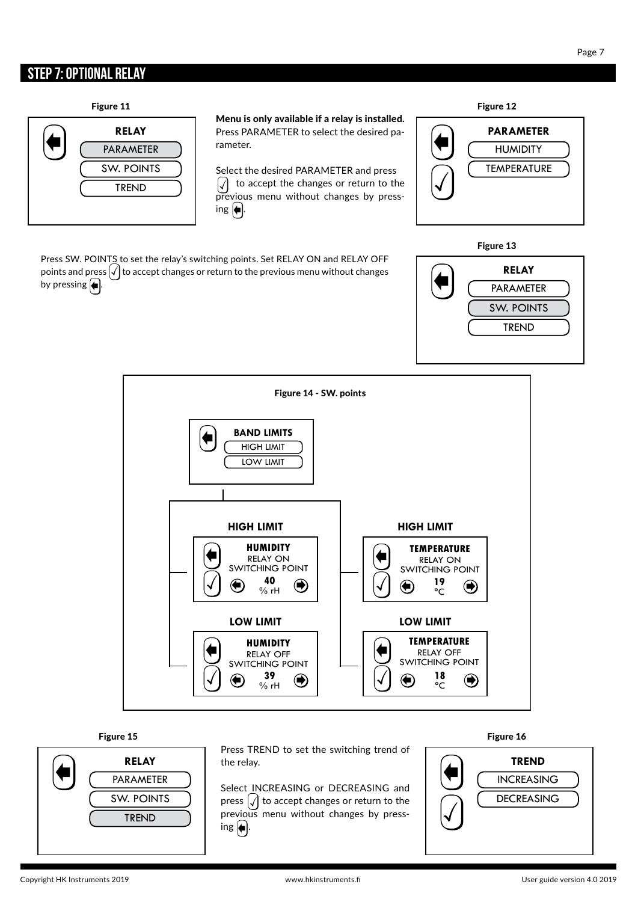### **STEP 7: OPTIONAL RELAY**

Figure 11 Figure 12



Menu is only available if a relay is installed. Press PARAMETER to select the desired parameter.

Select the desired PARAMETER and press  $\left|\sqrt{\right|}$  to accept the changes or return to the previous menu without changes by press ing  $\blacklozenge$ .

 **PARAMETER HUMIDITY TEMPERATURE** 

Press SW. POINTS to set the relay's switching points. Set RELAY ON and RELAY OFF points and press  $\sqrt{\ }$  to accept changes or return to the previous menu without changes by pressing  $\leftarrow$  .







Press TREND to set the switching trend of the relay.

Select INCREASING or DECREASING and press  $\left| \mathcal{J} \right|$  to accept changes or return to the previous menu without changes by press ing  $\leftarrow$  .